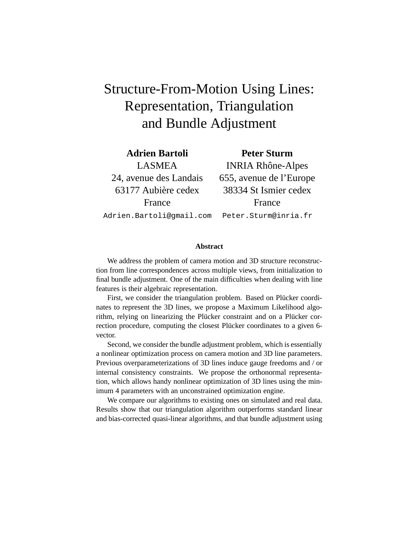# Structure-From-Motion Using Lines: Representation, Triangulation and Bundle Adjustment

**Adrien Bartoli Peter Sturm**

LASMEA INRIA Rhône-Alpes 24, avenue des Landais 655, avenue de l'Europe 63177 Aubiere cedex 38334 St Ismier cedex ` France **France** Adrien.Bartoli@gmail.com Peter.Sturm@inria.fr

We address the problem of camera motion and 3D structure reconstruction from line correspondences across multiple views, from initialization to final bundle adjustment. One of the main difficulties when dealing with line features is their algebraic representation.

**Abstract**

First, we consider the triangulation problem. Based on Plücker coordinates to represent the 3D lines, we propose a Maximum Likelihood algorithm, relying on linearizing the Plücker constraint and on a Plücker correction procedure, computing the closest Plücker coordinates to a given 6vector.

Second, we consider the bundle adjustment problem, which is essentially a nonlinear optimization process on camera motion and 3D line parameters. Previous overparameterizations of 3D lines induce gauge freedoms and / or internal consistency constraints. We propose the orthonormal representation, which allows handy nonlinear optimization of 3D lines using the minimum 4 parameters with an unconstrained optimization engine.

We compare our algorithms to existing ones on simulated and real data. Results show that our triangulation algorithm outperforms standard linear and bias-corrected quasi-linear algorithms, and that bundle adjustment using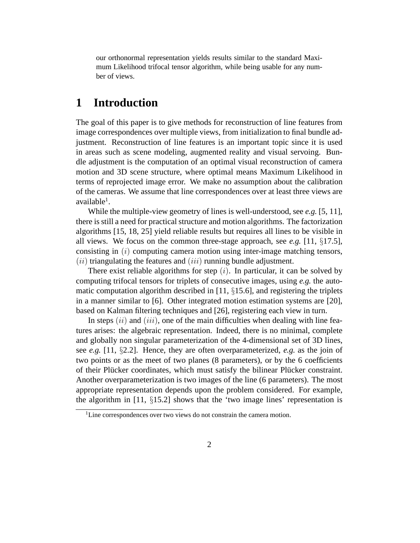our orthonormal representation yields results similar to the standard Maximum Likelihood trifocal tensor algorithm, while being usable for any number of views.

## **1 Introduction**

The goal of this paper is to give methods for reconstruction of line features from image correspondences over multiple views, from initialization to final bundle adjustment. Reconstruction of line features is an important topic since it is used in areas such as scene modeling, augmented reality and visual servoing. Bundle adjustment is the computation of an optimal visual reconstruction of camera motion and 3D scene structure, where optimal means Maximum Likelihood in terms of reprojected image error. We make no assumption about the calibration of the cameras. We assume that line correspondences over at least three views are available<sup>1</sup>.

While the multiple-view geometry of lines is well-understood, see *e.g.* [5, 11], there is still a need for practical structure and motion algorithms. The factorization algorithms [15, 18, 25] yield reliable results but requires all lines to be visible in all views. We focus on the common three-stage approach, see *e.g.* [11, §17.5], consisting in  $(i)$  computing camera motion using inter-image matching tensors,  $(iii)$  triangulating the features and  $(iii)$  running bundle adjustment.

There exist reliable algorithms for step  $(i)$ . In particular, it can be solved by computing trifocal tensors for triplets of consecutive images, using *e.g.* the automatic computation algorithm described in  $[11, §15.6]$ , and registering the triplets in a manner similar to [6]. Other integrated motion estimation systems are [20], based on Kalman filtering techniques and [26], registering each view in turn.

In steps  $(ii)$  and  $(iii)$ , one of the main difficulties when dealing with line features arises: the algebraic representation. Indeed, there is no minimal, complete and globally non singular parameterization of the 4-dimensional set of 3D lines, see *e.g.* [11, §2.2]. Hence, they are often overparameterized, *e.g.* as the join of two points or as the meet of two planes (8 parameters), or by the 6 coefficients of their Plücker coordinates, which must satisfy the bilinear Plücker constraint. Another overparameterization is two images of the line (6 parameters). The most appropriate representation depends upon the problem considered. For example, the algorithm in [11,  $\S 15.2$ ] shows that the 'two image lines' representation is

<sup>&</sup>lt;sup>1</sup>Line correspondences over two views do not constrain the camera motion.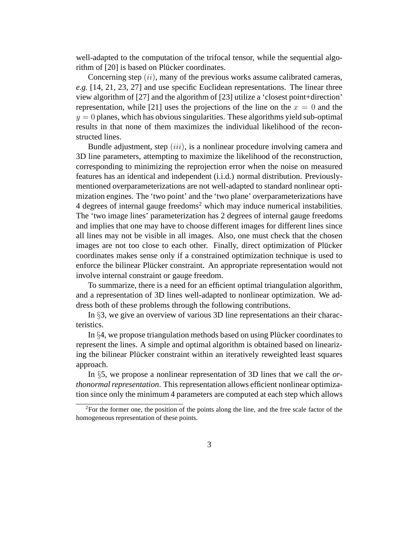well-adapted to the computation of the trifocal tensor, while the sequential algorithm of [20] is based on Plücker coordinates.

Concerning step  $(ii)$ , many of the previous works assume calibrated cameras, *e.g.* [14, 21, 23, 27] and use specific Euclidean representations. The linear three view algorithm of [27] and the algorithm of [23] utilize a 'closest point+direction' representation, while [21] uses the projections of the line on the  $x = 0$  and the  $y = 0$  planes, which has obvious singularities. These algorithms yield sub-optimal results in that none of them maximizes the individual likelihood of the reconstructed lines.

Bundle adjustment, step  $(iii)$ , is a nonlinear procedure involving camera and 3D line parameters, attempting to maximize the likelihood of the reconstruction, corresponding to minimizing the reprojection error when the noise on measured features has an identical and independent (i.i.d.) normal distribution. Previouslymentioned overparameterizations are not well-adapted to standard nonlinear optimization engines. The 'two point' and the 'two plane' overparameterizations have  $4$  degrees of internal gauge freedoms<sup>2</sup> which may induce numerical instabilities. The 'two image lines' parameterization has 2 degrees of internal gauge freedoms and implies that one may have to choose different images for different lines since all lines may not be visible in all images. Also, one must check that the chosen images are not too close to each other. Finally, direct optimization of Plücker coordinates makes sense only if a constrained optimization technique is used to enforce the bilinear Plücker constraint. An appropriate representation would not involve internal constraint or gauge freedom.

To summarize, there is a need for an efficient optimal triangulation algorithm, and a representation of 3D lines well-adapted to nonlinear optimization. We address both of these problems through the following contributions.

In §3, we give an overview of various 3D line representations an their characteristics.

In  $\S 4$ , we propose triangulation methods based on using Plücker coordinates to represent the lines. A simple and optimal algorithm is obtained based on linearizing the bilinear Plücker constraint within an iteratively reweighted least squares approach.

In §5, we propose a nonlinear representation of 3D lines that we call the *orthonormal representation*. This representation allows efficient nonlinear optimization since only the minimum 4 parameters are computed at each step which allows

 $2$ For the former one, the position of the points along the line, and the free scale factor of the homogeneous representation of these points.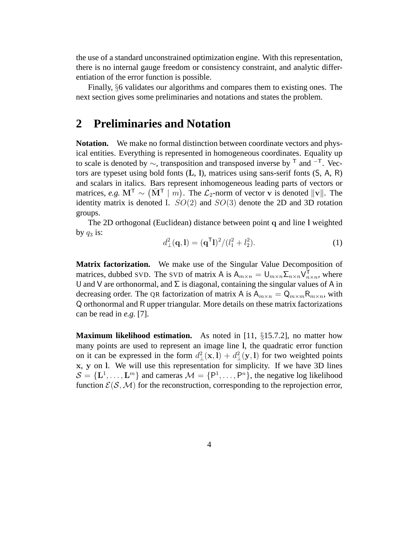the use of a standard unconstrained optimization engine. With this representation, there is no internal gauge freedom or consistency constraint, and analytic differentiation of the error function is possible.

Finally, §6 validates our algorithms and compares them to existing ones. The next section gives some preliminaries and notations and states the problem.

## **2 Preliminaries and Notation**

**Notation.** We make no formal distinction between coordinate vectors and physical entities. Everything is represented in homogeneous coordinates. Equality up to scale is denoted by  $\sim$ , transposition and transposed inverse by <sup>T</sup> and <sup>-T</sup>. Vectors are typeset using bold fonts (L, l), matrices using sans-serif fonts (S, A, R) and scalars in italics. Bars represent inhomogeneous leading parts of vectors or matrices, *e.g.*  $M^{\mathsf{T}} \sim (\bar{M}^{\mathsf{T}} \mid m)$ . The  $\mathcal{L}_2$ -norm of vector v is denoted  $||v||$ . The identity matrix is denoted I.  $SO(2)$  and  $SO(3)$  denote the 2D and 3D rotation groups.

The 2D orthogonal (Euclidean) distance between point q and line l weighted by  $q_3$  is:

$$
d_{\perp}^{2}(\mathbf{q}, \mathbf{l}) = (\mathbf{q}^{\mathsf{T}} \mathbf{l})^{2} / (l_{1}^{2} + l_{2}^{2}). \tag{1}
$$

**Matrix factorization.** We make use of the Singular Value Decomposition of matrices, dubbed SVD. The SVD of matrix A is  $A_{m \times n} = U_{m \times n} \Sigma_{n \times n} V_n^{\mathsf{T}}$  $_{n\times n}^{\text{T}}$ , where U and V are orthonormal, and  $\Sigma$  is diagonal, containing the singular values of A in decreasing order. The QR factorization of matrix A is  $A_{m \times n} = Q_{m \times m} R_{m \times n}$ , with Q orthonormal and R upper triangular. More details on these matrix factorizations can be read in *e.g.* [7].

**Maximum likelihood estimation.** As noted in [11, §15.7.2], no matter how many points are used to represent an image line l, the quadratic error function on it can be expressed in the form  $d_{\perp}^2(\mathbf{x}, \mathbf{l}) + d_{\perp}^2(\mathbf{y}, \mathbf{l})$  for two weighted points x, y on l. We will use this representation for simplicity. If we have 3D lines  $S = {\{\mathbf{L}^1, \dots, \mathbf{L}^m\}}$  and cameras  $\mathcal{M} = {\{\mathsf{P}^1, \dots, \mathsf{P}^n\}}$ , the negative log likelihood function  $E(S, \mathcal{M})$  for the reconstruction, corresponding to the reprojection error,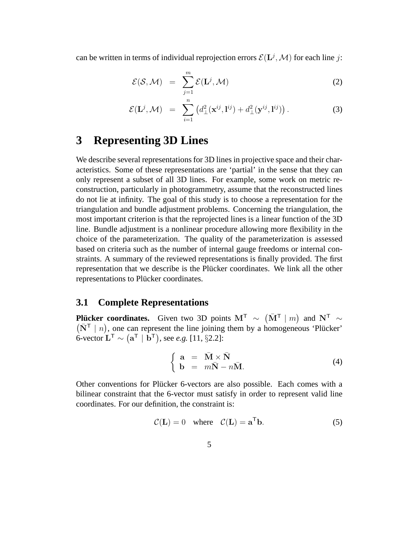can be written in terms of individual reprojection errors  $\mathcal{E}(\mathbf{L}^j, \mathcal{M})$  for each line j:

$$
\mathcal{E}(\mathcal{S}, \mathcal{M}) = \sum_{j=1}^{m} \mathcal{E}(\mathbf{L}^{j}, \mathcal{M})
$$
 (2)

$$
\mathcal{E}(\mathbf{L}^j, \mathcal{M}) = \sum_{i=1}^n \left( d_\perp^2(\mathbf{x}^{ij}, \mathbf{l}^{ij}) + d_\perp^2(\mathbf{y}^{ij}, \mathbf{l}^{ij}) \right). \tag{3}
$$

## **3 Representing 3D Lines**

We describe several representations for 3D lines in projective space and their characteristics. Some of these representations are 'partial' in the sense that they can only represent a subset of all 3D lines. For example, some work on metric reconstruction, particularly in photogrammetry, assume that the reconstructed lines do not lie at infinity. The goal of this study is to choose a representation for the triangulation and bundle adjustment problems. Concerning the triangulation, the most important criterion is that the reprojected lines is a linear function of the 3D line. Bundle adjustment is a nonlinear procedure allowing more flexibility in the choice of the parameterization. The quality of the parameterization is assessed based on criteria such as the number of internal gauge freedoms or internal constraints. A summary of the reviewed representations is finally provided. The first representation that we describe is the Plücker coordinates. We link all the other representations to Plücker coordinates.

#### **3.1 Complete Representations**

**Plücker coordinates.** Given two 3D points  $M^T \sim (\bar{M}^T | m)$  and  $N^T \sim (\bar{N}^T | n)$ , one can represent the line joining them by a homogeneous 'Plücker'  $\bar{N}^{\dagger}$  | n), one can represent the line joining them by a homogeneous 'Plücker'  $\vec{b}$ -vector  $\vec{L}^T \sim (\vec{a}^T \mid \vec{b}^T)$ , see *e.g.* [11, §2.2]:

$$
\begin{cases}\n\mathbf{a} = \bar{\mathbf{M}} \times \bar{\mathbf{N}} \\
\mathbf{b} = m\bar{\mathbf{N}} - n\bar{\mathbf{M}}.\n\end{cases} (4)
$$

Other conventions for Plücker 6-vectors are also possible. Each comes with a bilinear constraint that the 6-vector must satisfy in order to represent valid line coordinates. For our definition, the constraint is:

$$
C(\mathbf{L}) = 0 \quad \text{where} \quad C(\mathbf{L}) = \mathbf{a}^{\mathsf{T}} \mathbf{b}.
$$
 (5)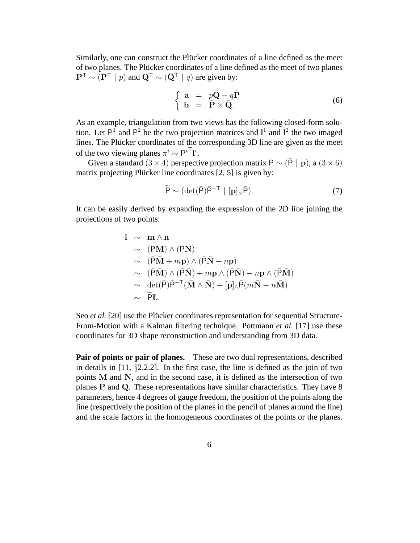Similarly, one can construct the Plücker coordinates of a line defined as the meet of two planes. The Plücker coordinates of a line defined as the meet of two planes  $\mathbf{P}^{\mathsf{T}} \sim (\bar{\mathbf{P}}^{\mathsf{T}} \mid p)$  and  $\mathbf{Q}^{\mathsf{T}} \sim (\bar{\mathbf{Q}}^{\mathsf{T}} \mid q)$  are given by:

$$
\begin{cases}\n\mathbf{a} = p\bar{\mathbf{Q}} - q\bar{\mathbf{P}} \\
\mathbf{b} = \bar{\mathbf{P}} \times \bar{\mathbf{Q}}.\n\end{cases}
$$
\n(6)

As an example, triangulation from two views has the following closed-form solution. Let  $P^1$  and  $P^2$  be the two projection matrices and  $I^1$  and  $I^2$  the two imaged lines. The Plücker coordinates of the corresponding 3D line are given as the meet of the two viewing planes  $\pi^i \sim P^{i\mathsf{T}} \mathbf{l}^i$ .

Given a standard  $(3 \times 4)$  perspective projection matrix P ~  $(\bar{P} \mid \mathbf{p})$ , a  $(3 \times 6)$ matrix projecting Plücker line coordinates  $[2, 5]$  is given by:

$$
\widetilde{P} \sim (\det(\overline{P})\overline{P}^{-T} \mid [\mathbf{p}]_{\times}\overline{P}).
$$
\n(7)

It can be easily derived by expanding the expression of the 2D line joining the projections of two points:

$$
1 \sim m \wedge n
$$
  
\n
$$
\sim (PM) \wedge (PN)
$$
  
\n
$$
\sim (\bar{P}\bar{M} + mp) \wedge (\bar{P}\bar{N} + np)
$$
  
\n
$$
\sim (\bar{P}\bar{M}) \wedge (\bar{P}\bar{N}) + mp \wedge (\bar{P}\bar{N}) - np \wedge (\bar{P}\bar{M})
$$
  
\n
$$
\sim det(\bar{P})\bar{P}^{-T}(\bar{M} \wedge \bar{N}) + [p]_{\wedge} \bar{P}(m\bar{N} - n\bar{M})
$$
  
\n
$$
\sim \tilde{P}L.
$$

Seo *et al.* [20] use the Plücker coordinates representation for sequential Structure-From-Motion with a Kalman filtering technique. Pottmann *et al.* [17] use these coordinates for 3D shape reconstruction and understanding from 3D data.

**Pair of points or pair of planes.** These are two dual representations, described in details in [11, §2.2.2]. In the first case, the line is defined as the join of two points  $M$  and  $N$ , and in the second case, it is defined as the intersection of two planes P and Q. These representations have similar characteristics. They have 8 parameters, hence 4 degrees of gauge freedom, the position of the points along the line (respectively the position of the planes in the pencil of planes around the line) and the scale factors in the homogeneous coordinates of the points or the planes.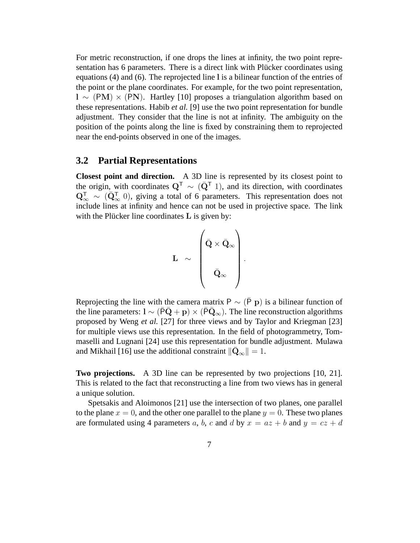For metric reconstruction, if one drops the lines at infinity, the two point representation has 6 parameters. There is a direct link with Plücker coordinates using equations (4) and (6). The reprojected line l is a bilinear function of the entries of the point or the plane coordinates. For example, for the two point representation,  $l \sim (PM) \times (PN)$ . Hartley [10] proposes a triangulation algorithm based on these representations. Habib *et al.* [9] use the two point representation for bundle adjustment. They consider that the line is not at infinity. The ambiguity on the position of the points along the line is fixed by constraining them to reprojected near the end-points observed in one of the images.

#### **3.2 Partial Representations**

**Closest point and direction.** A 3D line is represented by its closest point to the origin, with coordinates  $Q^T \sim (\bar{Q}^T)$ , and its direction, with coordinates  $Q_{\infty}^{\mathsf{T}} \sim (\bar{Q}_{\infty}^{\mathsf{T}} 0)$ , giving a total of 6 parameters. This representation does not include lines at infinity and hence can not be used in projective space. The link with the Plücker line coordinates  $L$  is given by:

$$
\mathbf{L} \sim \begin{pmatrix} \bar{\mathbf{Q}} \times \bar{\mathbf{Q}}_{\infty} \\ & \\ \bar{\mathbf{Q}}_{\infty} & \end{pmatrix}.
$$

Reprojecting the line with the camera matrix P  $\sim$  (P p) is a bilinear function of the line parameters:  $l \sim (\bar{P}\bar{Q} + p) \times (\bar{P}\bar{Q}_{\infty})$ . The line reconstruction algorithms proposed by Weng *et al.* [27] for three views and by Taylor and Kriegman [23] for multiple views use this representation. In the field of photogrammetry, Tommaselli and Lugnani [24] use this representation for bundle adjustment. Mulawa and Mikhail [16] use the additional constraint  $\|\bar{\mathbf{Q}}_{\infty}\| = 1$ .

**Two projections.** A 3D line can be represented by two projections [10, 21]. This is related to the fact that reconstructing a line from two views has in general a unique solution.

Spetsakis and Aloimonos [21] use the intersection of two planes, one parallel to the plane  $x = 0$ , and the other one parallel to the plane  $y = 0$ . These two planes are formulated using 4 parameters a, b, c and d by  $x = az + b$  and  $y = cz + d$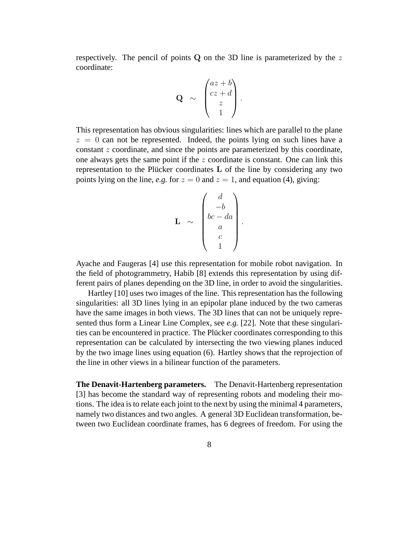respectively. The pencil of points  $Q$  on the 3D line is parameterized by the z coordinate:

$$
\mathbf{Q} \sim \begin{pmatrix} az+b \\ cz+d \\ z \\ 1 \end{pmatrix}.
$$

This representation has obvious singularities: lines which are parallel to the plane  $z = 0$  can not be represented. Indeed, the points lying on such lines have a constant z coordinate, and since the points are parameterized by this coordinate, one always gets the same point if the z coordinate is constant. One can link this representation to the Plücker coordinates  $L$  of the line by considering any two points lying on the line, *e.g.* for  $z = 0$  and  $z = 1$ , and equation (4), giving:

$$
\mathbf{L} \sim \begin{pmatrix} d \\ -b \\ bc - da \\ a \\ c \\ 1 \end{pmatrix}.
$$

Ayache and Faugeras [4] use this representation for mobile robot navigation. In the field of photogrammetry, Habib [8] extends this representation by using different pairs of planes depending on the 3D line, in order to avoid the singularities.

Hartley [10] uses two images of the line. This representation has the following singularities: all 3D lines lying in an epipolar plane induced by the two cameras have the same images in both views. The 3D lines that can not be uniquely represented thus form a Linear Line Complex, see *e.g.* [22]. Note that these singularities can be encountered in practice. The Plücker coordinates corresponding to this representation can be calculated by intersecting the two viewing planes induced by the two image lines using equation (6). Hartley shows that the reprojection of the line in other views in a bilinear function of the parameters.

**The Denavit-Hartenberg parameters.** The Denavit-Hartenberg representation [3] has become the standard way of representing robots and modeling their motions. The idea is to relate each joint to the next by using the minimal 4 parameters, namely two distances and two angles. A general 3D Euclidean transformation, between two Euclidean coordinate frames, has 6 degrees of freedom. For using the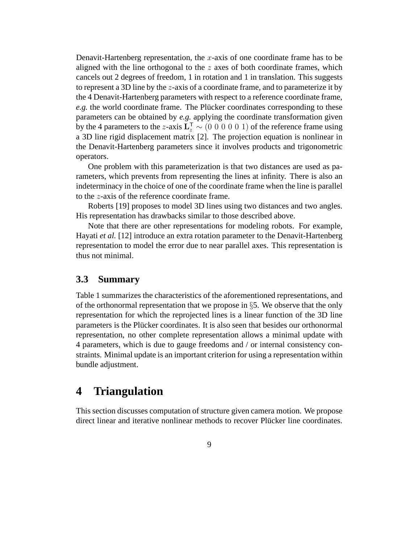Denavit-Hartenberg representation, the  $x$ -axis of one coordinate frame has to be aligned with the line orthogonal to the  $z$  axes of both coordinate frames, which cancels out 2 degrees of freedom, 1 in rotation and 1 in translation. This suggests to represent a 3D line by the  $z$ -axis of a coordinate frame, and to parameterize it by the 4 Denavit-Hartenberg parameters with respect to a reference coordinate frame, *e.g.* the world coordinate frame. The Plücker coordinates corresponding to these parameters can be obtained by *e.g.* applying the coordinate transformation given by the 4 parameters to the z-axis  $\mathbf{L}_z^{\mathsf{T}} \sim (0\; 0\; 0\; 0\; 0\; 1)$  of the reference frame using a 3D line rigid displacement matrix [2]. The projection equation is nonlinear in the Denavit-Hartenberg parameters since it involves products and trigonometric operators.

One problem with this parameterization is that two distances are used as parameters, which prevents from representing the lines at infinity. There is also an indeterminacy in the choice of one of the coordinate frame when the line is parallel to the z-axis of the reference coordinate frame.

Roberts [19] proposes to model 3D lines using two distances and two angles. His representation has drawbacks similar to those described above.

Note that there are other representations for modeling robots. For example, Hayati *et al.* [12] introduce an extra rotation parameter to the Denavit-Hartenberg representation to model the error due to near parallel axes. This representation is thus not minimal.

#### **3.3 Summary**

Table 1 summarizes the characteristics of the aforementioned representations, and of the orthonormal representation that we propose in  $\S 5$ . We observe that the only representation for which the reprojected lines is a linear function of the 3D line parameters is the Plücker coordinates. It is also seen that besides our orthonormal representation, no other complete representation allows a minimal update with 4 parameters, which is due to gauge freedoms and / or internal consistency constraints. Minimal update is an important criterion for using a representation within bundle adjustment.

## **4 Triangulation**

This section discusses computation of structure given camera motion. We propose direct linear and iterative nonlinear methods to recover Plücker line coordinates.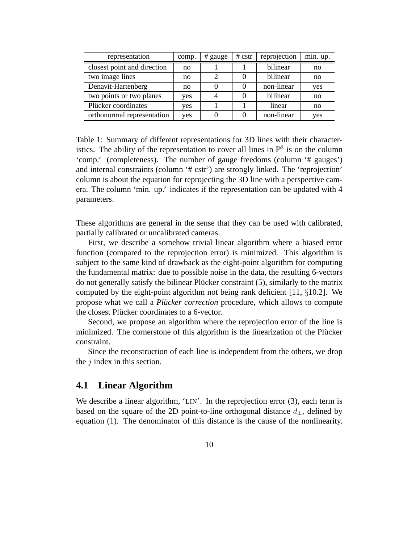| representation              | comp. | # gauge | # cstr | reprojection | min. up. |
|-----------------------------|-------|---------|--------|--------------|----------|
| closest point and direction | no    |         |        | bilinear     | no       |
| two image lines             | no    |         |        | bilinear     | no       |
| Denavit-Hartenberg          | no    |         |        | non-linear   | yes      |
| two points or two planes    | yes   |         |        | bilinear     | no       |
| Plücker coordinates         | yes   |         |        | linear       | no       |
| orthonormal representation  | yes   |         |        | non-linear   | yes      |

Table 1: Summary of different representations for 3D lines with their characteristics. The ability of the representation to cover all lines in  $\mathbb{P}^3$  is on the column 'comp.' (completeness). The number of gauge freedoms (column '# gauges') and internal constraints (column '# cstr') are strongly linked. The 'reprojection' column is about the equation for reprojecting the 3D line with a perspective camera. The column 'min. up.' indicates if the representation can be updated with 4 parameters.

These algorithms are general in the sense that they can be used with calibrated, partially calibrated or uncalibrated cameras.

First, we describe a somehow trivial linear algorithm where a biased error function (compared to the reprojection error) is minimized. This algorithm is subject to the same kind of drawback as the eight-point algorithm for computing the fundamental matrix: due to possible noise in the data, the resulting 6-vectors do not generally satisfy the bilinear Plücker constraint (5), similarly to the matrix computed by the eight-point algorithm not being rank deficient [11,  $\S 10.2$ ]. We propose what we call a *Plucker correction* procedure, which allows to compute the closest Plücker coordinates to a 6-vector.

Second, we propose an algorithm where the reprojection error of the line is minimized. The cornerstone of this algorithm is the linearization of the Plücker constraint.

Since the reconstruction of each line is independent from the others, we drop the  $j$  index in this section.

#### **4.1 Linear Algorithm**

We describe a linear algorithm, 'LIN'. In the reprojection error (3), each term is based on the square of the 2D point-to-line orthogonal distance  $d_{\perp}$ , defined by equation (1). The denominator of this distance is the cause of the nonlinearity.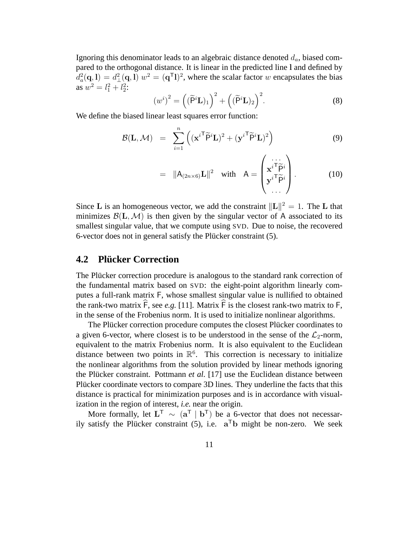Ignoring this denominator leads to an algebraic distance denoted  $d_a$ , biased compared to the orthogonal distance. It is linear in the predicted line l and defined by  $d_a^2(\mathbf{q}, \mathbf{l}) = d_{\perp}^2(\mathbf{q}, \mathbf{l}) w^2 = (\mathbf{q}^T \mathbf{l})^2$ , where the scalar factor w encapsulates the bias as  $w^2 = l_1^2 + l_2^2$ :

$$
(w^{i})^{2} = ((\widetilde{\mathbf{P}}^{i}\mathbf{L})_{1})^{2} + ((\widetilde{\mathbf{P}}^{i}\mathbf{L})_{2})^{2}.
$$
 (8)

We define the biased linear least squares error function:

$$
\mathcal{B}(\mathbf{L}, \mathcal{M}) = \sum_{i=1}^{n} \left( (\mathbf{x}^{i\mathsf{T}} \widetilde{\mathsf{P}}^{i} \mathbf{L})^2 + (\mathbf{y}^{i\mathsf{T}} \widetilde{\mathsf{P}}^{i} \mathbf{L})^2 \right)
$$
(9)

$$
= \|A_{(2n\times 6)}\mathbf{L}\|^2 \quad \text{with} \quad A = \begin{pmatrix} \cdots \\ \mathbf{x}^{i\mathsf{T}}\widetilde{\mathsf{P}}^i \\ \mathbf{y}^{i\mathsf{T}}\widetilde{\mathsf{P}}^i \\ \cdots \end{pmatrix} . \tag{10}
$$

Since L is an homogeneous vector, we add the constraint  $\Vert L \Vert^2 = 1$ . The L that minimizes  $\mathcal{B}(L,\mathcal{M})$  is then given by the singular vector of A associated to its smallest singular value, that we compute using SVD. Due to noise, the recovered 6-vector does not in general satisfy the Plücker constraint (5).

#### **4.2 Plucker Correction ¨**

The Plücker correction procedure is analogous to the standard rank correction of the fundamental matrix based on SVD: the eight-point algorithm linearly computes a full-rank matrix F, whose smallest singular value is nullified to obtained the rank-two matrix  $\overline{F}$ , see *e.g.* [11]. Matrix  $\overline{F}$  is the closest rank-two matrix to  $\overline{F}$ , in the sense of the Frobenius norm. It is used to initialize nonlinear algorithms.

The Plücker correction procedure computes the closest Plücker coordinates to a given 6-vector, where closest is to be understood in the sense of the  $\mathcal{L}_2$ -norm, equivalent to the matrix Frobenius norm. It is also equivalent to the Euclidean distance between two points in  $\mathbb{R}^6$ . This correction is necessary to initialize the nonlinear algorithms from the solution provided by linear methods ignoring the Plücker constraint. Pottmann *et al.* [17] use the Euclidean distance between Plücker coordinate vectors to compare 3D lines. They underline the facts that this distance is practical for minimization purposes and is in accordance with visualization in the region of interest, *i.e.* near the origin.

More formally, let  $L^{\top} \sim (a^{\top} \mid b^{\top})$  be a 6-vector that does not necessarily satisfy the Plücker constraint (5), i.e.  $a^Tb$  might be non-zero. We seek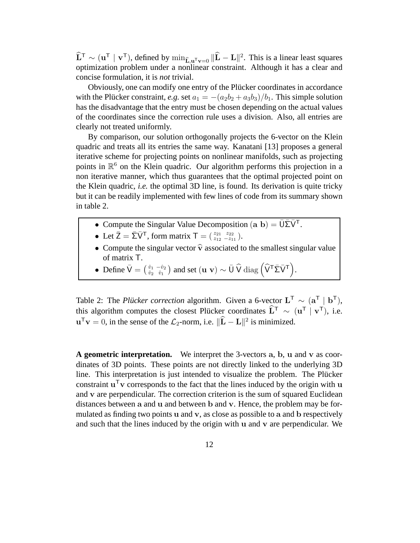$\widehat{\mathbf{L}}^{\mathsf{T}} \sim (\mathbf{u}^{\mathsf{T}} \mid \mathbf{v}^{\mathsf{T}})$ , defined by  $\min_{\widehat{\mathbf{L}}, \mathbf{u}^{\mathsf{T}} \mathbf{v} = 0} \|\widehat{\mathbf{L}} - \mathbf{L}\|^2$ . This is a linear least squares optimization problem under a nonlinear constraint. Although it has a clear and concise formulation, it is *not* trivial.

Obviously, one can modify one entry of the Plücker coordinates in accordance with the Plücker constraint, *e.g.* set  $a_1 = -(a_2b_2 + a_3b_3)/b_1$ . This simple solution has the disadvantage that the entry must be chosen depending on the actual values of the coordinates since the correction rule uses a division. Also, all entries are clearly not treated uniformly.

By comparison, our solution orthogonally projects the 6-vector on the Klein quadric and treats all its entries the same way. Kanatani [13] proposes a general iterative scheme for projecting points on nonlinear manifolds, such as projecting points in  $\mathbb{R}^6$  on the Klein quadric. Our algorithm performs this projection in a non iterative manner, which thus guarantees that the optimal projected point on the Klein quadric, *i.e.* the optimal 3D line, is found. Its derivation is quite tricky but it can be readily implemented with few lines of code from its summary shown in table 2.

- Compute the Singular Value Decomposition  $(a\ b) = \overline{U} \overline{\Sigma} \overline{V}^T$ .
- Let  $\bar{Z} = \bar{\Sigma} \bar{V}^{\mathsf{T}}$ , form matrix  $\bar{\mathsf{T}} = \begin{pmatrix} z_{21} & z_{22} \\ z_{12} & -z_{11} \end{pmatrix}$ .
- Compute the singular vector  $\hat{v}$  associated to the smallest singular value of matrix T.
- Define  $\bar{V} = \begin{pmatrix} \hat{v}_1 & -\hat{v}_2 \\ \hat{v}_2 & \hat{v}_1 \end{pmatrix}$  $\frac{\hat{v}_1}{\hat{v}_2}$   $\frac{-\hat{v}_2}{\hat{v}_1}$  and set  $(\mathbf{u} \mathbf{v}) \sim \bar{\mathbf{U}} \widehat{\mathbf{V}} \text{ diag} \left( \widehat{\mathbf{V}}^{\mathsf{T}} \bar{\mathbf{\Sigma}} \bar{\mathbf{V}}^{\mathsf{T}} \right)$ .

Table 2: The *Plücker correction* algorithm. Given a 6-vector  $L^{\top} \sim (a^{\top} | b^{\top})$ , this algorithm computes the closest Plücker coordinates  $\hat{\mathbf{L}}^{\mathsf{T}} \sim (\mathbf{u}^{\mathsf{T}} \mid \mathbf{v}^{\mathsf{T}})$ , i.e.  $\mathbf{u}^{\mathsf{T}}\mathbf{v} = 0$ , in the sense of the  $\mathcal{L}_2$ -norm, i.e.  $\|\mathbf{\hat{L}} - \mathbf{L}\|^2$  is minimized.

**A geometric interpretation.** We interpret the 3-vectors a, b, u and v as coordinates of 3D points. These points are not directly linked to the underlying 3D line. This interpretation is just intended to visualize the problem. The Plücker constraint  $\mathbf{u}^\top \mathbf{v}$  corresponds to the fact that the lines induced by the origin with  $\mathbf{u}$ and v are perpendicular. The correction criterion is the sum of squared Euclidean distances between a and u and between b and v. Hence, the problem may be formulated as finding two points  $u$  and  $v$ , as close as possible to a and  $b$  respectively and such that the lines induced by the origin with u and v are perpendicular. We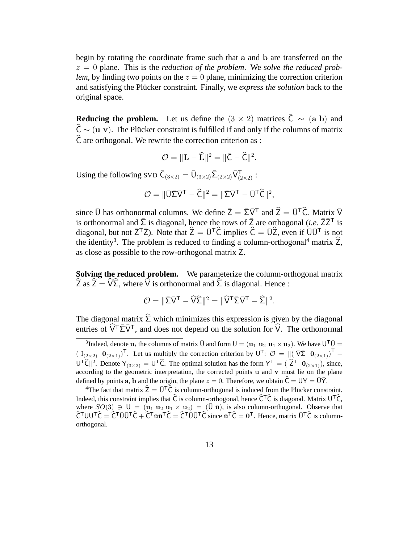begin by rotating the coordinate frame such that a and b are transferred on the  $z = 0$  plane. This is the *reduction of the problem*. We *solve the reduced problem*, by finding two points on the  $z = 0$  plane, minimizing the correction criterion and satisfying the Plücker constraint. Finally, we *express the solution* back to the original space.

**Reducing the problem.** Let us define the  $(3 \times 2)$  matrices  $\overline{C} \sim (a \ b)$  and  $\hat{C} \sim (\mathbf{u} \mathbf{v})$ . The Plücker constraint is fulfilled if and only if the columns of matrix  $\hat{\mathsf{C}}$  are orthogonal. We rewrite the correction criterion as :

$$
\mathcal{O} = \|\mathbf{L} - \widehat{\mathbf{L}}\|^2 = \|\bar{\mathbf{C}} - \widehat{\mathbf{C}}\|^2.
$$

Using the following SVD  $\bar{C}_{(3\times2)} = \bar{U}_{(3\times2)}\bar{\Sigma}_{(2\times2)}\bar{V}_{(2\times2)}^T$ :

$$
\mathcal{O} = \|\bar{U}\bar{\Sigma}\bar{V}^{\mathsf{T}} - \widehat{\mathsf{C}}\|^2 = \|\bar{\Sigma}\bar{V}^{\mathsf{T}} - \bar{U}^{\mathsf{T}}\widehat{\mathsf{C}}\|^2,
$$

since  $\bar{U}$  has orthonormal columns. We define  $\bar{Z} = \bar{\Sigma}\bar{V}^T$  and  $\hat{Z} = \bar{U}^T\hat{C}$ . Matrix  $\bar{V}$ is orthonormal and  $\bar{\Sigma}$  is diagonal, hence the rows of  $\bar{Z}$  are orthogonal (*i.e.*  $\bar{Z}\bar{Z}^T$  is diagonal, but not  $\overline{Z}^T\overline{Z}$ ). Note that  $\widehat{Z} = \overline{U}^T\widehat{C}$  implies  $\widehat{C} = \overline{U}\widehat{Z}$ , even if  $\overline{U}\overline{U}^T$  is not the identity<sup>3</sup>. The problem is reduced to finding a column-orthogonal<sup>4</sup> matrix  $\hat{Z}$ , as close as possible to the row-orthogonal matrix Z.

**Solving the reduced problem.** We parameterize the column-orthogonal matrix  $\hat{Z}$  as  $\hat{Z} = \hat{V}\hat{\Sigma}$ , where  $\hat{V}$  is orthonormal and  $\hat{\Sigma}$  is diagonal. Hence :

$$
\mathcal{O} = \|\bar{\Sigma}\bar{V}^{\mathsf{T}} - \widehat{V}\widehat{\Sigma}\|^2 = \|\widehat{V}^{\mathsf{T}}\bar{\Sigma}\bar{V}^{\mathsf{T}} - \widehat{\Sigma}\|^2.
$$

The diagonal matrix  $\hat{\Sigma}$  which minimizes this expression is given by the diagonal entries of  $\widehat{V}^T\overline{\Sigma}\overline{V}^T$ , and does not depend on the solution for  $\widehat{V}$ . The orthonormal

<sup>&</sup>lt;sup>3</sup>Indeed, denote  $\mathbf{u}_i$  the columns of matrix  $\bar{U}$  and form  $U = (\mathbf{u}_1 \ \mathbf{u}_2 \ \mathbf{u}_1 \times \mathbf{u}_2)$ . We have  $U^T \bar{U} =$  $(I_{(2\times2)}$   $\mathbf{0}_{(2\times1)})^T$ . Let us multiply the correction criterion by  $U^T$ :  $\mathcal{O} = ||(\bar{V}\bar{\Sigma} \ \mathbf{0}_{(2\times1)})^T U^{\dagger} \hat{C} \parallel^2$ . Denote  $Y_{(3\times2)} = U^{\dagger} \hat{C}$ . The optimal solution has the form  $Y^{\dagger} = (\hat{Z}^{\dagger} \mathbf{0}_{(2\times1)})$ , since, according to the geometric interpretation, the corrected points u and v must lie on the plane defined by points a, b and the origin, the plane  $z = 0$ . Therefore, we obtain  $\hat{C} = UY = \bar{U}\bar{Y}$ .

<sup>&</sup>lt;sup>4</sup>The fact that matrix  $\hat{Z} = \bar{U}^T\hat{C}$  is column-orthogonal is induced from the Plücker constraint. Indeed, this constraint implies that  $\hat{C}$  is column-orthogonal, hence  $\hat{C}^T\hat{C}$  is diagonal. Matrix  $U^T\hat{C}$ , where  $SO(3) \ni U = (\mathbf{u}_1 \ \mathbf{u}_2 \ \mathbf{u}_1 \times \mathbf{u}_2) = (\bar{U} \ \bar{\mathbf{u}})$ , is also column-orthogonal. Observe that  $\hat{C}^{\top}UU^{\top}\hat{C} = \hat{C}^{\top}\bar{U}\bar{U}^{\top}\hat{C} + \hat{C}^{\top}\bar{u}\bar{u}^{\top}\hat{C} = \hat{C}^{\top}\bar{U}\bar{U}^{\top}\hat{C}$  since  $\bar{u}^{\top}\hat{C} = 0^{\top}$ . Hence, matrix  $\bar{U}^{\top}\hat{C}$  is columnorthogonal.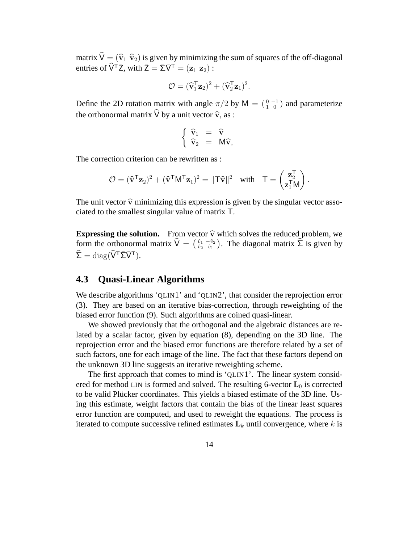matrix  $\hat{V} = (\hat{v}_1 \hat{v}_2)$  is given by minimizing the sum of squares of the off-diagonal entries of  $\widehat{V}^T \overline{Z}$ , with  $\overline{Z} = \overline{\Sigma} \overline{V}^T = (\mathbf{z}_1 \ \mathbf{z}_2)$ :

$$
\mathcal{O} = (\widehat{\mathbf{v}}_1^{\mathsf{T}} \mathbf{z}_2)^2 + (\widehat{\mathbf{v}}_2^{\mathsf{T}} \mathbf{z}_1)^2.
$$

Define the 2D rotation matrix with angle  $\pi/2$  by M =  $\binom{0}{1}$  and parameterize the orthonormal matrix  $\hat{V}$  by a unit vector  $\hat{v}$ , as :

$$
\left\{ \begin{array}{rcl} \widehat{\mathbf{v}}_1 & = & \widehat{\mathbf{v}} \\ \widehat{\mathbf{v}}_2 & = & M \widehat{\mathbf{v}}, \end{array} \right.
$$

The correction criterion can be rewritten as :

$$
\mathcal{O} = (\widehat{\mathbf{v}}^{\mathsf{T}} \mathbf{z}_2)^2 + (\widehat{\mathbf{v}}^{\mathsf{T}} \mathsf{M}^{\mathsf{T}} \mathbf{z}_1)^2 = \|\mathsf{T} \widehat{\mathbf{v}}\|^2 \quad \text{with} \quad \mathsf{T} = \begin{pmatrix} \mathbf{z}_2^{\mathsf{T}} \\ \mathbf{z}_1^{\mathsf{T}} \mathsf{M} \end{pmatrix}.
$$

The unit vector  $\hat{v}$  minimizing this expression is given by the singular vector associated to the smallest singular value of matrix T.

**Expressing the solution.** From vector  $\hat{\mathbf{v}}$  which solves the reduced problem, we farm the outled property  $\hat{V} = (\hat{v}_1 - \hat{v}_2)$ . The discover matrix  $\hat{\Sigma}$  is given by form the orthonormal matrix  $\hat{V} = \begin{pmatrix} \hat{v}_1 & -\hat{v}_2 \\ \hat{v}_2 & \hat{v}_1 \end{pmatrix}$  $\hat{v}_1 \stackrel{-\hat{v}_2}{\hat{v}_1}$ . The diagonal matrix  $\hat{\Sigma}$  is given by  $\widehat{\Sigma} = \text{diag}(\widehat{V}^{\mathsf{T}} \bar{\Sigma} \bar{V}^{\mathsf{T}}).$ 

#### **4.3 Quasi-Linear Algorithms**

We describe algorithms 'QLIN1' and 'QLIN2', that consider the reprojection error (3). They are based on an iterative bias-correction, through reweighting of the biased error function (9). Such algorithms are coined quasi-linear.

We showed previously that the orthogonal and the algebraic distances are related by a scalar factor, given by equation (8), depending on the 3D line. The reprojection error and the biased error functions are therefore related by a set of such factors, one for each image of the line. The fact that these factors depend on the unknown 3D line suggests an iterative reweighting scheme.

The first approach that comes to mind is 'QLIN1'. The linear system considered for method LIN is formed and solved. The resulting 6-vector  $L_0$  is corrected to be valid Plücker coordinates. This yields a biased estimate of the 3D line. Using this estimate, weight factors that contain the bias of the linear least squares error function are computed, and used to reweight the equations. The process is iterated to compute successive refined estimates  $L_k$  until convergence, where k is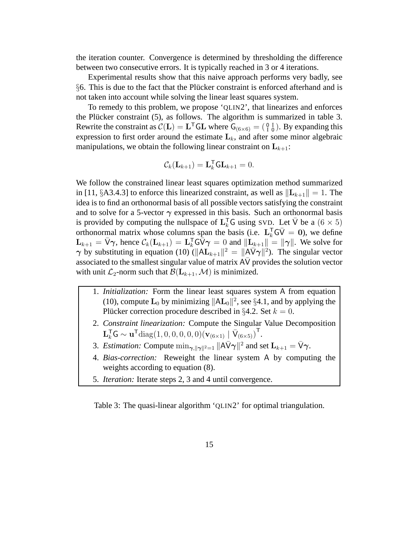the iteration counter. Convergence is determined by thresholding the difference between two consecutive errors. It is typically reached in 3 or 4 iterations.

Experimental results show that this naive approach performs very badly, see  $§6$ . This is due to the fact that the Plücker constraint is enforced afterhand and is not taken into account while solving the linear least squares system.

To remedy to this problem, we propose 'QLIN2', that linearizes and enforces the Plücker constraint  $(5)$ , as follows. The algorithm is summarized in table 3. Rewrite the constraint as  $C(L) = L^{T}GL$  where  $G_{(6 \times 6)} = (\begin{smallmatrix} 0 & I \\ I & 0 \end{smallmatrix})$ . By expanding this expression to first order around the estimate  $L_k$ , and after some minor algebraic manipulations, we obtain the following linear constraint on  $L_{k+1}$ :

$$
\mathcal{C}_k(\mathbf{L}_{k+1}) = \mathbf{L}_k^{\mathsf{T}} \mathsf{GL}_{k+1} = 0.
$$

We follow the constrained linear least squares optimization method summarized in [11, §A3.4.3] to enforce this linearized constraint, as well as  $\|\mathbf{L}_{k+1}\| = 1$ . The idea is to find an orthonormal basis of all possible vectors satisfying the constraint and to solve for a 5-vector  $\gamma$  expressed in this basis. Such an orthonormal basis is provided by computing the nullspace of  $L_k^{\mathsf{T}} G$  using SVD. Let  $\bar{V}$  be a  $(6 \times 5)$ orthonormal matrix whose columns span the basis (i.e.  $L_k^T G \overline{V} = 0$ ), we define  $\mathbf{L}_{k+1} = \bar{\mathsf{V}} \gamma$ , hence  $\mathcal{C}_k(\mathbf{L}_{k+1}) = \mathbf{L}_k^{\mathsf{T}} \mathbf{G} \bar{\mathsf{V}} \gamma = 0$  and  $\|\mathbf{L}_{k+1}\| = \|\gamma\|$ . We solve for  $\gamma$  by substituting in equation (10) ( $||AL_{k+1}||^2 = ||A\overline{V}\gamma||^2$ ). The singular vector associated to the smallest singular value of matrix AV provides the solution vector with unit  $\mathcal{L}_2$ -norm such that  $\mathcal{B}(\mathbf{L}_{k+1},\mathcal{M})$  is minimized.

- 1. *Initialization:* Form the linear least squares system A from equation (10), compute  $\mathbf{L}_0$  by minimizing  $||A\mathbf{L}_0||^2$ , see §4.1, and by applying the Plücker correction procedure described in §4.2. Set  $k = 0$ .
- 2. *Constraint linearization:* Compute the Singular Value Decomposition  $\mathbf{L}_{k}^{\mathsf{T}} \mathsf{G} \sim \mathbf{u}^{\mathsf{T}} \text{diag}(1,0,0,0,0,0)\left(\mathbf{v}_{(6\times1)} \mid \bar{\mathsf{V}}_{(6\times5)}\right)^{\mathsf{T}}$ .
- 3. *Estimation:* Compute  $\min_{\gamma, \|\gamma\|^2=1} \|\overline{A} \overline{V} \gamma\|^2$  and set  $\overline{L}_{k+1} = \overline{V} \gamma$ .
- 4. *Bias-correction:* Reweight the linear system A by computing the weights according to equation (8).
- 5. *Iteration:* Iterate steps 2, 3 and 4 until convergence.

Table 3: The quasi-linear algorithm 'QLIN2' for optimal triangulation.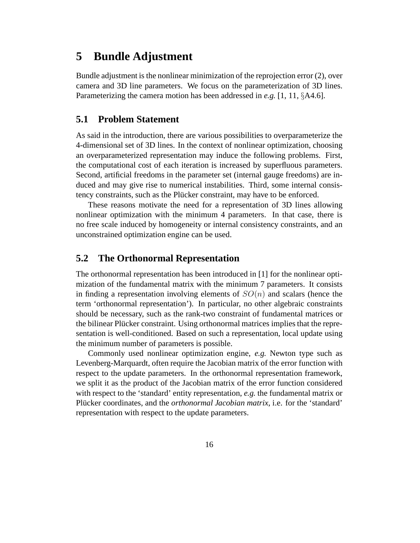## **5 Bundle Adjustment**

Bundle adjustment is the nonlinear minimization of the reprojection error (2), over camera and 3D line parameters. We focus on the parameterization of 3D lines. Parameterizing the camera motion has been addressed in *e.g.* [1, 11, §A4.6].

#### **5.1 Problem Statement**

As said in the introduction, there are various possibilities to overparameterize the 4-dimensional set of 3D lines. In the context of nonlinear optimization, choosing an overparameterized representation may induce the following problems. First, the computational cost of each iteration is increased by superfluous parameters. Second, artificial freedoms in the parameter set (internal gauge freedoms) are induced and may give rise to numerical instabilities. Third, some internal consistency constraints, such as the Plücker constraint, may have to be enforced.

These reasons motivate the need for a representation of 3D lines allowing nonlinear optimization with the minimum 4 parameters. In that case, there is no free scale induced by homogeneity or internal consistency constraints, and an unconstrained optimization engine can be used.

#### **5.2 The Orthonormal Representation**

The orthonormal representation has been introduced in [1] for the nonlinear optimization of the fundamental matrix with the minimum 7 parameters. It consists in finding a representation involving elements of  $SO(n)$  and scalars (hence the term 'orthonormal representation'). In particular, no other algebraic constraints should be necessary, such as the rank-two constraint of fundamental matrices or the bilinear Plücker constraint. Using orthonormal matrices implies that the representation is well-conditioned. Based on such a representation, local update using the minimum number of parameters is possible.

Commonly used nonlinear optimization engine, *e.g.* Newton type such as Levenberg-Marquardt, often require the Jacobian matrix of the error function with respect to the update parameters. In the orthonormal representation framework, we split it as the product of the Jacobian matrix of the error function considered with respect to the 'standard' entity representation, *e.g.* the fundamental matrix or Plücker coordinates, and the *orthonormal Jacobian matrix*, i.e. for the 'standard' representation with respect to the update parameters.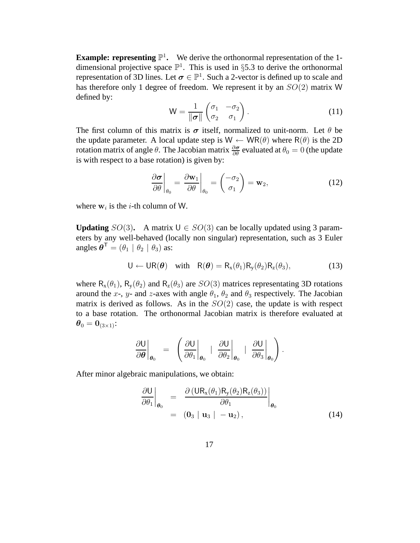**Example: representing**  $\mathbb{P}^1$ **.** We derive the orthonormal representation of the 1dimensional projective space  $\mathbb{P}^1$ . This is used in §5.3 to derive the orthonormal representation of 3D lines. Let  $\sigma \in \mathbb{P}^1$ . Such a 2-vector is defined up to scale and has therefore only 1 degree of freedom. We represent it by an  $SO(2)$  matrix W defined by:

$$
W = \frac{1}{\|\sigma\|} \begin{pmatrix} \sigma_1 & -\sigma_2 \\ \sigma_2 & \sigma_1 \end{pmatrix} . \tag{11}
$$

The first column of this matrix is  $\sigma$  itself, normalized to unit-norm. Let  $\theta$  be the update parameter. A local update step is  $W \leftarrow WR(\theta)$  where  $R(\theta)$  is the 2D rotation matrix of angle  $\theta$ . The Jacobian matrix  $\frac{\partial \sigma}{\partial \theta}$  evaluated at  $\theta_0 = 0$  (the update is with respect to a base rotation) is given by:

$$
\left. \frac{\partial \boldsymbol{\sigma}}{\partial \theta} \right|_{\theta_0} = \left. \frac{\partial \mathbf{w}_1}{\partial \theta} \right|_{\theta_0} = \left( \frac{-\sigma_2}{\sigma_1} \right) = \mathbf{w}_2,\tag{12}
$$

where  $w_i$  is the *i*-th column of W.

**Updating**  $SO(3)$ . A matrix  $U \in SO(3)$  can be locally updated using 3 parameters by any well-behaved (locally non singular) representation, such as 3 Euler angles  $\boldsymbol{\theta}^{\mathsf{T}} = (\theta_1 \mid \theta_2 \mid \theta_3)$  as:

$$
U \leftarrow UR(\boldsymbol{\theta}) \quad \text{with} \quad R(\boldsymbol{\theta}) = R_x(\theta_1) R_y(\theta_2) R_z(\theta_3), \tag{13}
$$

where  $R_x(\theta_1)$ ,  $R_y(\theta_2)$  and  $R_z(\theta_3)$  are  $SO(3)$  matrices representating 3D rotations around the x-, y- and z-axes with angle  $\theta_1$ ,  $\theta_2$  and  $\theta_3$  respectively. The Jacobian matrix is derived as follows. As in the  $SO(2)$  case, the update is with respect to a base rotation. The orthonormal Jacobian matrix is therefore evaluated at  $\boldsymbol{\theta}_0 = \mathbf{0}_{(3\times1)}$ :

$$
\left.\frac{\partial U}{\partial \theta}\right|_{\theta_0} = \left.\left(\frac{\partial U}{\partial \theta_1}\right|_{\theta_0} + \left.\frac{\partial U}{\partial \theta_2}\right|_{\theta_0} + \left.\frac{\partial U}{\partial \theta_3}\right|_{\theta_0}\right).
$$

After minor algebraic manipulations, we obtain:

$$
\left. \frac{\partial U}{\partial \theta_1} \right|_{\theta_0} = \left. \frac{\partial (UR_x(\theta_1)R_y(\theta_2)R_z(\theta_3))}{\partial \theta_1} \right|_{\theta_0}
$$
\n
$$
= (0_3 | u_3 | - u_2), \qquad (14)
$$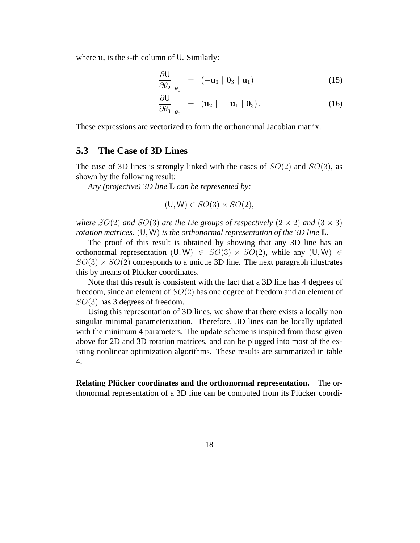where  $\mathbf{u}_i$  is the *i*-th column of U. Similarly:

$$
\left.\frac{\partial U}{\partial \theta_2}\right|_{\theta_0} = (-\mathbf{u}_3 \mid \mathbf{0}_3 \mid \mathbf{u}_1) \tag{15}
$$

$$
\left.\frac{\partial U}{\partial \theta_3}\right|_{\theta_0} = (\mathbf{u}_2 \mid -\mathbf{u}_1 \mid \mathbf{0}_3). \tag{16}
$$

These expressions are vectorized to form the orthonormal Jacobian matrix.

#### **5.3 The Case of 3D Lines**

The case of 3D lines is strongly linked with the cases of  $SO(2)$  and  $SO(3)$ , as shown by the following result:

*Any (projective) 3D line* L *can be represented by:*

$$
(\mathsf{U}, \mathsf{W}) \in SO(3) \times SO(2),
$$

*where*  $SO(2)$  *and*  $SO(3)$  *are the Lie groups of respectively*  $(2 \times 2)$  *and*  $(3 \times 3)$ *rotation matrices.* (U, W) *is the orthonormal representation of the 3D line* L*.*

The proof of this result is obtained by showing that any 3D line has an orthonormal representation  $(U, W) \in SO(3) \times SO(2)$ , while any  $(U, W) \in$  $SO(3) \times SO(2)$  corresponds to a unique 3D line. The next paragraph illustrates this by means of Plücker coordinates.

Note that this result is consistent with the fact that a 3D line has 4 degrees of freedom, since an element of SO(2) has one degree of freedom and an element of  $SO(3)$  has 3 degrees of freedom.

Using this representation of 3D lines, we show that there exists a locally non singular minimal parameterization. Therefore, 3D lines can be locally updated with the minimum 4 parameters. The update scheme is inspired from those given above for 2D and 3D rotation matrices, and can be plugged into most of the existing nonlinear optimization algorithms. These results are summarized in table 4.

**Relating Plucker coordinates and the orthonormal representation. ¨** The orthonormal representation of a 3D line can be computed from its Plücker coordi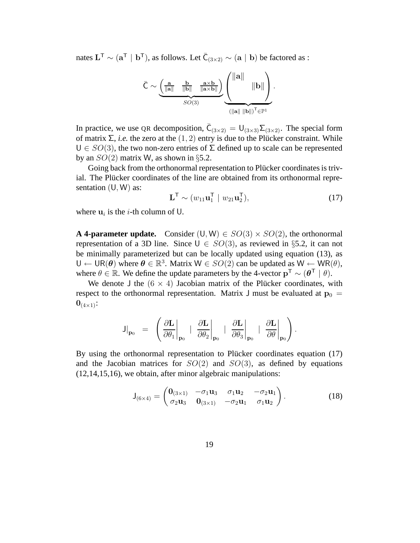nates  $L^{\mathsf{T}} \sim (a^{\mathsf{T}} \mid b^{\mathsf{T}})$ , as follows. Let  $\bar{C}_{(3\times2)} \sim (a \mid b)$  be factored as :

$$
\bar{\mathsf{C}} \sim \underbrace{\left(\frac{\mathbf{a}}{\|\mathbf{a}\|} \quad \frac{\mathbf{b}}{\|\mathbf{b}\|} \quad \frac{\mathbf{a} \times \mathbf{b}}{\|\mathbf{a} \times \mathbf{b}\|}\right)}_{SO(3)} \underbrace{\left(\left\|\mathbf{a}\right\| \quad \left\|\mathbf{b}\right\|\right)}_{\left(\left\|\mathbf{a}\| \ \left\|\mathbf{b}\right\|\right)^{\mathsf{T}} \in \mathbb{P}^{1}}.
$$

In practice, we use QR decomposition,  $\bar{C}_{(3\times2)} = U_{(3\times3)}\Sigma_{(3\times2)}$ . The special form of matrix  $\Sigma$ , *i.e.* the zero at the  $(1, 2)$  entry is due to the Plücker constraint. While  $U \in SO(3)$ , the two non-zero entries of  $\Sigma$  defined up to scale can be represented by an  $SO(2)$  matrix W, as shown in §5.2.

Going back from the orthonormal representation to Plücker coordinates is trivial. The Plücker coordinates of the line are obtained from its orthonormal representation  $(U, W)$  as:

$$
\mathbf{L}^{\mathsf{T}} \sim (w_{11} \mathbf{u}_1^{\mathsf{T}} \mid w_{21} \mathbf{u}_2^{\mathsf{T}}), \tag{17}
$$

where  $\mathbf{u}_i$  is the *i*-th column of U.

**A 4-parameter update.** Consider  $(U, W) \in SO(3) \times SO(2)$ , the orthonormal representation of a 3D line. Since  $U \in SO(3)$ , as reviewed in §5.2, it can not be minimally parameterized but can be locally updated using equation (13), as  $U \leftarrow \text{UR}(\theta)$  where  $\theta \in \mathbb{R}^3$ . Matrix  $W \in SO(2)$  can be updated as  $W \leftarrow \text{WR}(\theta)$ , where  $\theta \in \mathbb{R}$ . We define the update parameters by the 4-vector  $\mathbf{p}^T \sim (\theta^T \mid \theta)$ .

We denote J the  $(6 \times 4)$  Jacobian matrix of the Plücker coordinates, with respect to the orthonormal representation. Matrix J must be evaluated at  $p_0 =$  $0_{(4\times1)}$ :

$$
\mathsf{J}\big|_{\mathbf{p}_0} \ = \ \left.\left(\left.\frac{\partial \mathbf{L}}{\partial \theta_1}\right|_{\mathbf{p}_0} \ + \ \left.\frac{\partial \mathbf{L}}{\partial \theta_2}\right|_{\mathbf{p}_0} \ + \ \left.\frac{\partial \mathbf{L}}{\partial \theta_3}\right|_{\mathbf{p}_0} \ + \ \left.\frac{\partial \mathbf{L}}{\partial \theta}\right|_{\mathbf{p}_0}\right).
$$

By using the orthonormal representation to Plücker coordinates equation (17) and the Jacobian matrices for  $SO(2)$  and  $SO(3)$ , as defined by equations (12,14,15,16), we obtain, after minor algebraic manipulations:

$$
J_{(6\times4)} = \begin{pmatrix} 0_{(3\times1)} & -\sigma_1 u_3 & \sigma_1 u_2 & -\sigma_2 u_1 \\ \sigma_2 u_3 & 0_{(3\times1)} & -\sigma_2 u_1 & \sigma_1 u_2 \end{pmatrix}.
$$
 (18)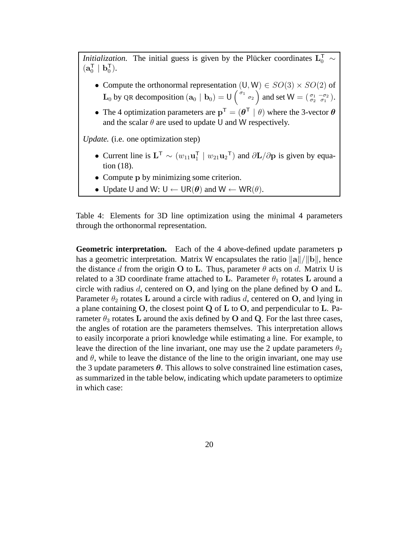*Initialization*. The initial guess is given by the Plücker coordinates  $L_0^{\mathsf{T}} \sim$  $(a_0^{\mathsf{T}} %{\footnotesize {\mathrm{R}}}$  $\frac{1}{0}$  |  $\mathbf{b}_0^{\mathsf{T}}$  $\begin{pmatrix} 1 \\ 0 \end{pmatrix}$ .

- Compute the orthonormal representation  $(U, W) \in SO(3) \times SO(2)$  of  $\mathbf{L}_0$  by QR decomposition  $(\mathbf{a}_0 | \mathbf{b}_0) = \mathbf{U} \begin{pmatrix} \sigma_1 & \sigma_2 \\ \sigma_2 & \sigma_1 \end{pmatrix}$  and set  $\mathbf{W} = \begin{pmatrix} \sigma_1 & -\sigma_2 \\ \sigma_2 & \sigma_1 \end{pmatrix}$ .
- The 4 optimization parameters are  $p^T = (\theta^T \mid \theta)$  where the 3-vector  $\theta$ and the scalar  $\theta$  are used to update U and W respectively.

*Update.* (i.e. one optimization step)

- Current line is  $\mathbf{L}^{\mathsf{T}} \sim (w_{11} \mathbf{u}_1^{\mathsf{T}})$  $T_1$  |  $w_{21}$ **u**<sub>2</sub><sup>T</sup>) and  $\partial$ **L**/ $\partial$ **p** is given by equation (18).
- Compute p by minimizing some criterion.
- Update U and W:  $U \leftarrow \text{UR}(\theta)$  and  $W \leftarrow \text{WR}(\theta)$ .

Table 4: Elements for 3D line optimization using the minimal 4 parameters through the orthonormal representation.

**Geometric interpretation.** Each of the 4 above-defined update parameters p has a geometric interpretation. Matrix W encapsulates the ratio  $\|\mathbf{a}\|/\|\mathbf{b}\|$ , hence the distance d from the origin O to L. Thus, parameter  $\theta$  acts on d. Matrix U is related to a 3D coordinate frame attached to L. Parameter  $\theta_1$  rotates L around a circle with radius  $d$ , centered on  $O$ , and lying on the plane defined by  $O$  and  $L$ . Parameter  $\theta_2$  rotates L around a circle with radius d, centered on O, and lying in a plane containing O, the closest point Q of L to O, and perpendicular to L. Parameter  $\theta_3$  rotates L around the axis defined by O and Q. For the last three cases, the angles of rotation are the parameters themselves. This interpretation allows to easily incorporate a priori knowledge while estimating a line. For example, to leave the direction of the line invariant, one may use the 2 update parameters  $\theta_2$ and  $\theta$ , while to leave the distance of the line to the origin invariant, one may use the 3 update parameters  $\theta$ . This allows to solve constrained line estimation cases, as summarized in the table below, indicating which update parameters to optimize in which case: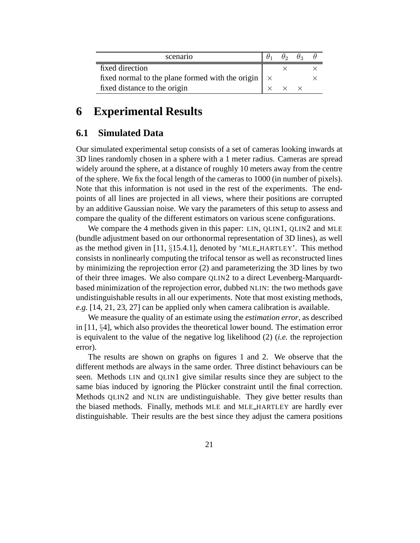| scenario                                                        |  | $\theta_2$ $\theta_3$ |  |
|-----------------------------------------------------------------|--|-----------------------|--|
| fixed direction                                                 |  |                       |  |
| fixed normal to the plane formed with the origin $\vert \times$ |  |                       |  |
| fixed distance to the origin                                    |  |                       |  |

## **6 Experimental Results**

### **6.1 Simulated Data**

Our simulated experimental setup consists of a set of cameras looking inwards at 3D lines randomly chosen in a sphere with a 1 meter radius. Cameras are spread widely around the sphere, at a distance of roughly 10 meters away from the centre of the sphere. We fix the focal length of the cameras to 1000 (in number of pixels). Note that this information is not used in the rest of the experiments. The endpoints of all lines are projected in all views, where their positions are corrupted by an additive Gaussian noise. We vary the parameters of this setup to assess and compare the quality of the different estimators on various scene configurations.

We compare the 4 methods given in this paper: LIN, QLIN1, QLIN2 and MLE (bundle adjustment based on our orthonormal representation of 3D lines), as well as the method given in [11,  $\S$ 15.4.1], denoted by 'MLE\_HARTLEY'. This method consists in nonlinearly computing the trifocal tensor as well as reconstructed lines by minimizing the reprojection error (2) and parameterizing the 3D lines by two of their three images. We also compare QLIN2 to a direct Levenberg-Marquardtbased minimization of the reprojection error, dubbed NLIN: the two methods gave undistinguishable results in all our experiments. Note that most existing methods, *e.g.* [14, 21, 23, 27] can be applied only when camera calibration is available.

We measure the quality of an estimate using the *estimation error*, as described in [11, §4], which also provides the theoretical lower bound. The estimation error is equivalent to the value of the negative log likelihood (2) (*i.e.* the reprojection error).

The results are shown on graphs on figures 1 and 2. We observe that the different methods are always in the same order. Three distinct behaviours can be seen. Methods LIN and QLIN1 give similar results since they are subject to the same bias induced by ignoring the Plücker constraint until the final correction. Methods QLIN2 and NLIN are undistinguishable. They give better results than the biased methods. Finally, methods MLE and MLE HARTLEY are hardly ever distinguishable. Their results are the best since they adjust the camera positions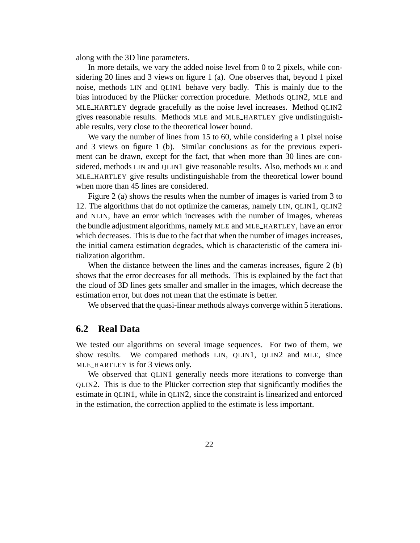along with the 3D line parameters.

In more details, we vary the added noise level from 0 to 2 pixels, while considering 20 lines and 3 views on figure 1 (a). One observes that, beyond 1 pixel noise, methods LIN and QLIN1 behave very badly. This is mainly due to the bias introduced by the Plücker correction procedure. Methods QLIN2, MLE and MLE HARTLEY degrade gracefully as the noise level increases. Method QLIN2 gives reasonable results. Methods MLE and MLE HARTLEY give undistinguishable results, very close to the theoretical lower bound.

We vary the number of lines from 15 to 60, while considering a 1 pixel noise and 3 views on figure 1 (b). Similar conclusions as for the previous experiment can be drawn, except for the fact, that when more than 30 lines are considered, methods LIN and QLIN1 give reasonable results. Also, methods MLE and MLE HARTLEY give results undistinguishable from the theoretical lower bound when more than 45 lines are considered.

Figure 2 (a) shows the results when the number of images is varied from 3 to 12. The algorithms that do not optimize the cameras, namely LIN, QLIN1, QLIN2 and NLIN, have an error which increases with the number of images, whereas the bundle adjustment algorithms, namely MLE and MLE HARTLEY, have an error which decreases. This is due to the fact that when the number of images increases, the initial camera estimation degrades, which is characteristic of the camera initialization algorithm.

When the distance between the lines and the cameras increases, figure 2 (b) shows that the error decreases for all methods. This is explained by the fact that the cloud of 3D lines gets smaller and smaller in the images, which decrease the estimation error, but does not mean that the estimate is better.

We observed that the quasi-linear methods always converge within 5 iterations.

#### **6.2 Real Data**

We tested our algorithms on several image sequences. For two of them, we show results. We compared methods LIN, QLIN1, QLIN2 and MLE, since MLE HARTLEY is for 3 views only.

We observed that QLIN1 generally needs more iterations to converge than QLIN2. This is due to the Plücker correction step that significantly modifies the estimate in QLIN1, while in QLIN2, since the constraint is linearized and enforced in the estimation, the correction applied to the estimate is less important.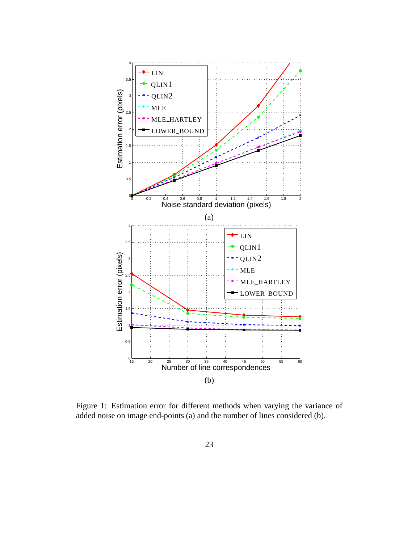

Figure 1: Estimation error for different methods when varying the variance of added noise on image end-points (a) and the number of lines considered (b).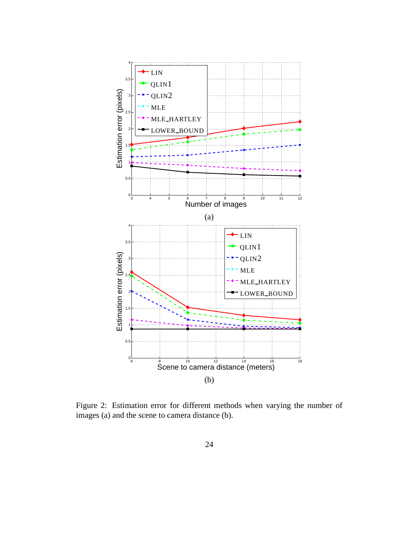

Figure 2: Estimation error for different methods when varying the number of images (a) and the scene to camera distance (b).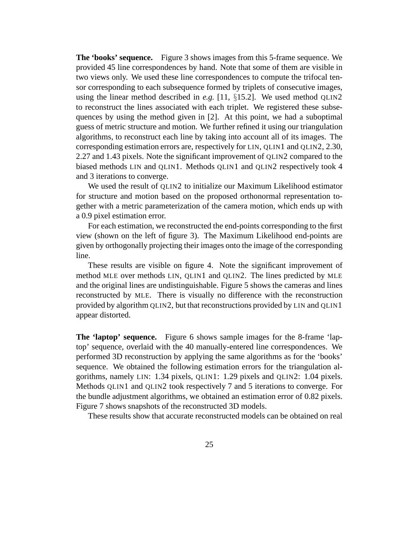**The 'books' sequence.** Figure 3 shows images from this 5-frame sequence. We provided 45 line correspondences by hand. Note that some of them are visible in two views only. We used these line correspondences to compute the trifocal tensor corresponding to each subsequence formed by triplets of consecutive images, using the linear method described in *e.g.* [11, §15.2]. We used method QLIN2 to reconstruct the lines associated with each triplet. We registered these subsequences by using the method given in [2]. At this point, we had a suboptimal guess of metric structure and motion. We further refined it using our triangulation algorithms, to reconstruct each line by taking into account all of its images. The corresponding estimation errors are, respectively for LIN, QLIN1 and QLIN2, 2.30, 2.27 and 1.43 pixels. Note the significant improvement of QLIN2 compared to the biased methods LIN and QLIN1. Methods QLIN1 and QLIN2 respectively took 4 and 3 iterations to converge.

We used the result of OLIN2 to initialize our Maximum Likelihood estimator for structure and motion based on the proposed orthonormal representation together with a metric parameterization of the camera motion, which ends up with a 0.9 pixel estimation error.

For each estimation, we reconstructed the end-points corresponding to the first view (shown on the left of figure 3). The Maximum Likelihood end-points are given by orthogonally projecting their images onto the image of the corresponding line.

These results are visible on figure 4. Note the significant improvement of method MLE over methods LIN, QLIN1 and QLIN2. The lines predicted by MLE and the original lines are undistinguishable. Figure 5 shows the cameras and lines reconstructed by MLE. There is visually no difference with the reconstruction provided by algorithm QLIN2, but that reconstructions provided by LIN and QLIN1 appear distorted.

**The 'laptop' sequence.** Figure 6 shows sample images for the 8-frame 'laptop' sequence, overlaid with the 40 manually-entered line correspondences. We performed 3D reconstruction by applying the same algorithms as for the 'books' sequence. We obtained the following estimation errors for the triangulation algorithms, namely LIN: 1.34 pixels, QLIN1: 1.29 pixels and QLIN2: 1.04 pixels. Methods QLIN1 and QLIN2 took respectively 7 and 5 iterations to converge. For the bundle adjustment algorithms, we obtained an estimation error of 0.82 pixels. Figure 7 shows snapshots of the reconstructed 3D models.

These results show that accurate reconstructed models can be obtained on real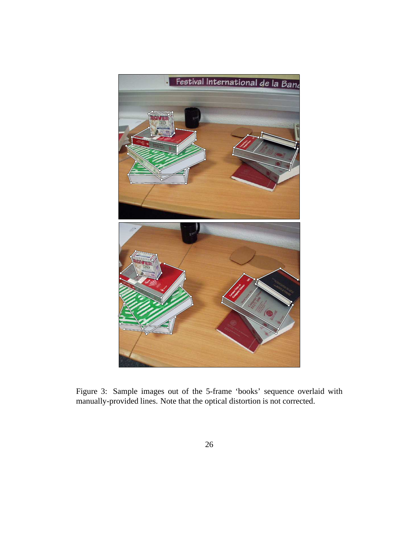

Figure 3: Sample images out of the 5-frame 'books' sequence overlaid with manually-provided lines. Note that the optical distortion is not corrected.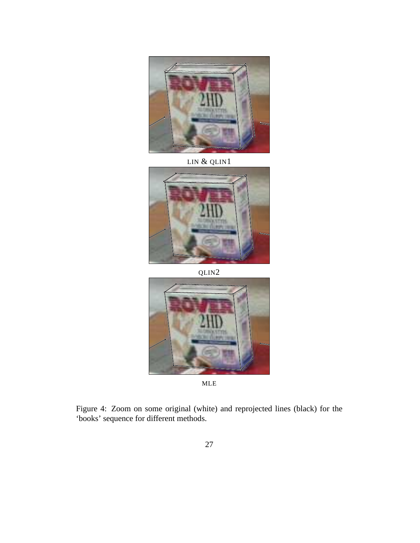

LIN & QLIN1



QLIN2



MLE

Figure 4: Zoom on some original (white) and reprojected lines (black) for the 'books' sequence for different methods.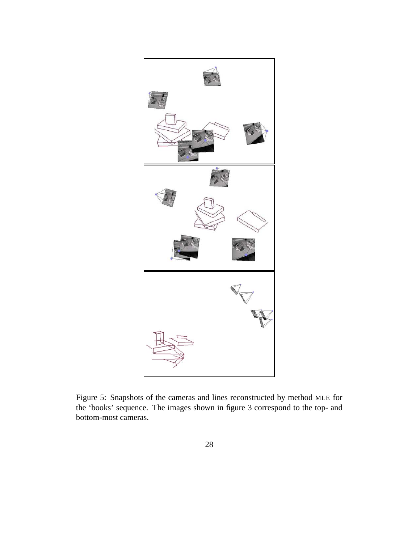

Figure 5: Snapshots of the cameras and lines reconstructed by method MLE for the 'books' sequence. The images shown in figure 3 correspond to the top- and bottom-most cameras.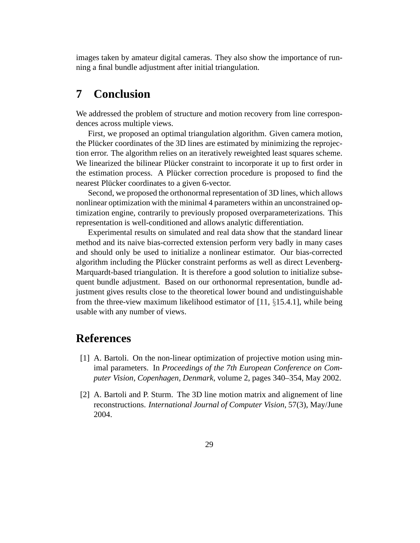images taken by amateur digital cameras. They also show the importance of running a final bundle adjustment after initial triangulation.

## **7 Conclusion**

We addressed the problem of structure and motion recovery from line correspondences across multiple views.

First, we proposed an optimal triangulation algorithm. Given camera motion, the Plücker coordinates of the 3D lines are estimated by minimizing the reprojection error. The algorithm relies on an iteratively reweighted least squares scheme. We linearized the bilinear Plücker constraint to incorporate it up to first order in the estimation process. A Plücker correction procedure is proposed to find the nearest Plücker coordinates to a given 6-vector.

Second, we proposed the orthonormal representation of 3D lines, which allows nonlinear optimization with the minimal 4 parameters within an unconstrained optimization engine, contrarily to previously proposed overparameterizations. This representation is well-conditioned and allows analytic differentiation.

Experimental results on simulated and real data show that the standard linear method and its naive bias-corrected extension perform very badly in many cases and should only be used to initialize a nonlinear estimator. Our bias-corrected algorithm including the Plücker constraint performs as well as direct Levenberg-Marquardt-based triangulation. It is therefore a good solution to initialize subsequent bundle adjustment. Based on our orthonormal representation, bundle adjustment gives results close to the theoretical lower bound and undistinguishable from the three-view maximum likelihood estimator of [11, §15.4.1], while being usable with any number of views.

## **References**

- [1] A. Bartoli. On the non-linear optimization of projective motion using minimal parameters. In *Proceedings of the 7th European Conference on Computer Vision, Copenhagen, Denmark*, volume 2, pages 340–354, May 2002.
- [2] A. Bartoli and P. Sturm. The 3D line motion matrix and alignement of line reconstructions. *International Journal of Computer Vision*, 57(3), May/June 2004.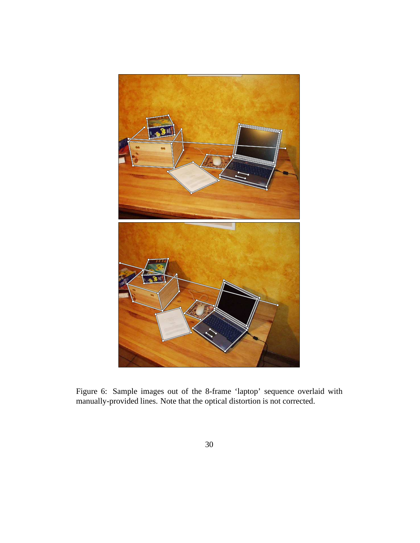

Figure 6: Sample images out of the 8-frame 'laptop' sequence overlaid with manually-provided lines. Note that the optical distortion is not corrected.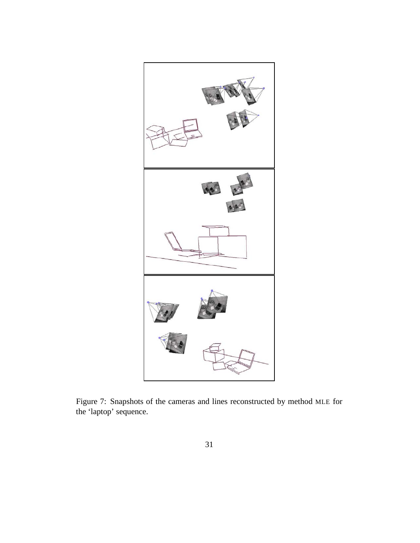

Figure 7: Snapshots of the cameras and lines reconstructed by method MLE for the 'laptop' sequence.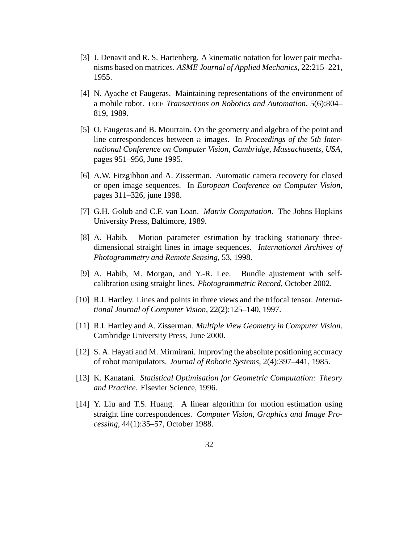- [3] J. Denavit and R. S. Hartenberg. A kinematic notation for lower pair mechanisms based on matrices. *ASME Journal of Applied Mechanics*, 22:215–221, 1955.
- [4] N. Ayache et Faugeras. Maintaining representations of the environment of a mobile robot. IEEE *Transactions on Robotics and Automation*, 5(6):804– 819, 1989.
- [5] O. Faugeras and B. Mourrain. On the geometry and algebra of the point and line correspondences between n images. In *Proceedings of the 5th International Conference on Computer Vision, Cambridge, Massachusetts, USA*, pages 951–956, June 1995.
- [6] A.W. Fitzgibbon and A. Zisserman. Automatic camera recovery for closed or open image sequences. In *European Conference on Computer Vision*, pages 311–326, june 1998.
- [7] G.H. Golub and C.F. van Loan. *Matrix Computation*. The Johns Hopkins University Press, Baltimore, 1989.
- [8] A. Habib. Motion parameter estimation by tracking stationary threedimensional straight lines in image sequences. *International Archives of Photogrammetry and Remote Sensing*, 53, 1998.
- [9] A. Habib, M. Morgan, and Y.-R. Lee. Bundle ajustement with selfcalibration using straight lines. *Photogrammetric Record*, October 2002.
- [10] R.I. Hartley. Lines and points in three views and the trifocal tensor. *International Journal of Computer Vision*, 22(2):125–140, 1997.
- [11] R.I. Hartley and A. Zisserman. *Multiple View Geometry in Computer Vision*. Cambridge University Press, June 2000.
- [12] S. A. Hayati and M. Mirmirani. Improving the absolute positioning accuracy of robot manipulators. *Journal of Robotic Systems*, 2(4):397–441, 1985.
- [13] K. Kanatani. *Statistical Optimisation for Geometric Computation: Theory and Practice*. Elsevier Science, 1996.
- [14] Y. Liu and T.S. Huang. A linear algorithm for motion estimation using straight line correspondences. *Computer Vision, Graphics and Image Processing*, 44(1):35–57, October 1988.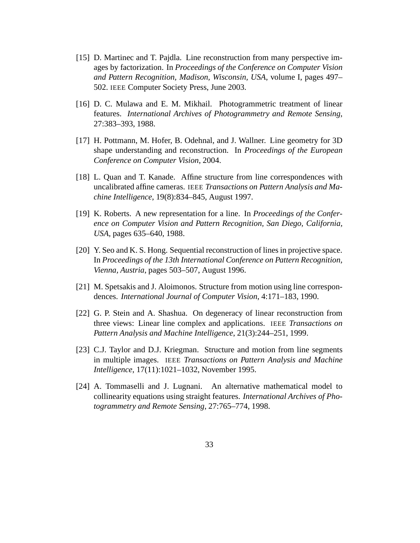- [15] D. Martinec and T. Pajdla. Line reconstruction from many perspective images by factorization. In *Proceedings of the Conference on Computer Vision and Pattern Recognition, Madison, Wisconsin, USA*, volume I, pages 497– 502. IEEE Computer Society Press, June 2003.
- [16] D. C. Mulawa and E. M. Mikhail. Photogrammetric treatment of linear features. *International Archives of Photogrammetry and Remote Sensing*, 27:383–393, 1988.
- [17] H. Pottmann, M. Hofer, B. Odehnal, and J. Wallner. Line geometry for 3D shape understanding and reconstruction. In *Proceedings of the European Conference on Computer Vision*, 2004.
- [18] L. Quan and T. Kanade. Affine structure from line correspondences with uncalibrated affine cameras. IEEE *Transactions on Pattern Analysis and Machine Intelligence*, 19(8):834–845, August 1997.
- [19] K. Roberts. A new representation for a line. In *Proceedings of the Conference on Computer Vision and Pattern Recognition, San Diego, California, USA*, pages 635–640, 1988.
- [20] Y. Seo and K. S. Hong. Sequential reconstruction of lines in projective space. In *Proceedings of the 13th International Conference on Pattern Recognition, Vienna, Austria*, pages 503–507, August 1996.
- [21] M. Spetsakis and J. Aloimonos. Structure from motion using line correspondences. *International Journal of Computer Vision*, 4:171–183, 1990.
- [22] G. P. Stein and A. Shashua. On degeneracy of linear reconstruction from three views: Linear line complex and applications. IEEE *Transactions on Pattern Analysis and Machine Intelligence*, 21(3):244–251, 1999.
- [23] C.J. Taylor and D.J. Kriegman. Structure and motion from line segments in multiple images. IEEE *Transactions on Pattern Analysis and Machine Intelligence*, 17(11):1021–1032, November 1995.
- [24] A. Tommaselli and J. Lugnani. An alternative mathematical model to collinearity equations using straight features. *International Archives of Photogrammetry and Remote Sensing*, 27:765–774, 1998.